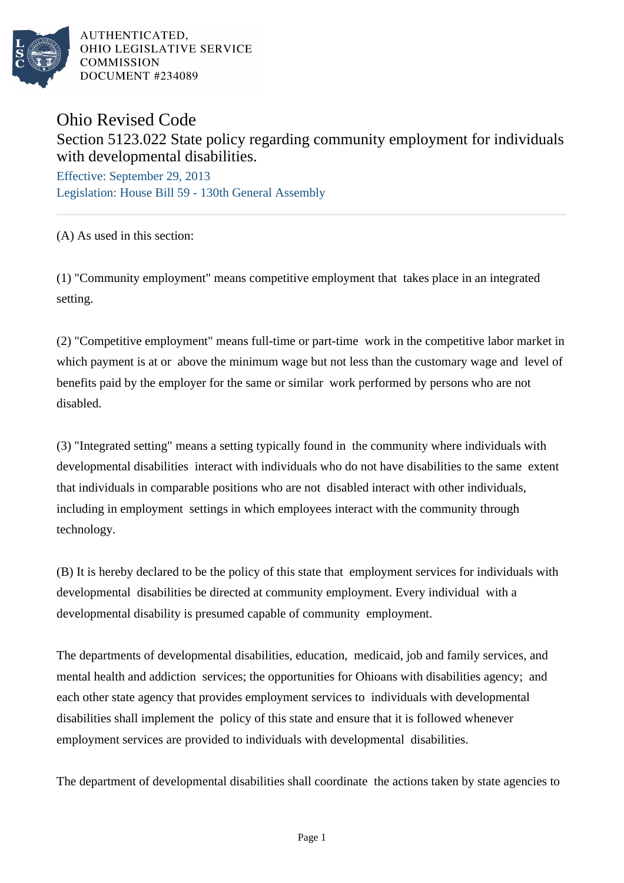

AUTHENTICATED. OHIO LEGISLATIVE SERVICE **COMMISSION DOCUMENT #234089** 

## Ohio Revised Code Section 5123.022 State policy regarding community employment for individuals with developmental disabilities.

Effective: September 29, 2013 Legislation: House Bill 59 - 130th General Assembly

(A) As used in this section:

(1) "Community employment" means competitive employment that takes place in an integrated setting.

(2) "Competitive employment" means full-time or part-time work in the competitive labor market in which payment is at or above the minimum wage but not less than the customary wage and level of benefits paid by the employer for the same or similar work performed by persons who are not disabled.

(3) "Integrated setting" means a setting typically found in the community where individuals with developmental disabilities interact with individuals who do not have disabilities to the same extent that individuals in comparable positions who are not disabled interact with other individuals, including in employment settings in which employees interact with the community through technology.

(B) It is hereby declared to be the policy of this state that employment services for individuals with developmental disabilities be directed at community employment. Every individual with a developmental disability is presumed capable of community employment.

The departments of developmental disabilities, education, medicaid, job and family services, and mental health and addiction services; the opportunities for Ohioans with disabilities agency; and each other state agency that provides employment services to individuals with developmental disabilities shall implement the policy of this state and ensure that it is followed whenever employment services are provided to individuals with developmental disabilities.

The department of developmental disabilities shall coordinate the actions taken by state agencies to